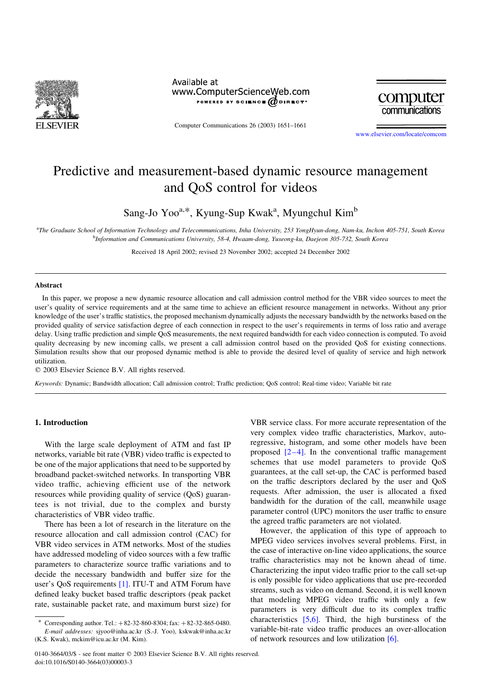

## Available at www.ComputerScienceWeb.com POWERED BY SCIENCE @DIRECT\*

Computer Communications 26 (2003) 1651–1661

computer communications

[www.elsevier.com/locate/comcom](http://www.elsevier.com/locate/comcom)

## Predictive and measurement-based dynamic resource management and QoS control for videos

Sang-Jo Yoo<sup>a,\*</sup>, Kyung-Sup Kwak<sup>a</sup>, Myungchul Kim<sup>b</sup>

a The Graduate School of Information Technology and Telecommunications, Inha University, 253 YongHyun-dong, Nam-ku, Inchon 405-751, South Korea <sup>b</sup>Information and Communications University, 58-4, Hwaam-dong, Yuseong-ku, Daejeon 305-732, South Korea

Received 18 April 2002; revised 23 November 2002; accepted 24 December 2002

#### Abstract

In this paper, we propose a new dynamic resource allocation and call admission control method for the VBR video sources to meet the user's quality of service requirements and at the same time to achieve an efficient resource management in networks. Without any prior knowledge of the user's traffic statistics, the proposed mechanism dynamically adjusts the necessary bandwidth by the networks based on the provided quality of service satisfaction degree of each connection in respect to the user's requirements in terms of loss ratio and average delay. Using traffic prediction and simple QoS measurements, the next required bandwidth for each video connection is computed. To avoid quality decreasing by new incoming calls, we present a call admission control based on the provided QoS for existing connections. Simulation results show that our proposed dynamic method is able to provide the desired level of quality of service and high network utilization.

 $© 2003 Elsevier Science B.V. All rights reserved.$ 

Keywords: Dynamic; Bandwidth allocation; Call admission control; Traffic prediction; QoS control; Real-time video; Variable bit rate

#### 1. Introduction

With the large scale deployment of ATM and fast IP networks, variable bit rate (VBR) video traffic is expected to be one of the major applications that need to be supported by broadband packet-switched networks. In transporting VBR video traffic, achieving efficient use of the network resources while providing quality of service (QoS) guarantees is not trivial, due to the complex and bursty characteristics of VBR video traffic.

There has been a lot of research in the literature on the resource allocation and call admission control (CAC) for VBR video services in ATM networks. Most of the studies have addressed modeling of video sources with a few traffic parameters to characterize source traffic variations and to decide the necessary bandwidth and buffer size for the user's QoS requirements [\[1\].](#page--1-0) ITU-T and ATM Forum have defined leaky bucket based traffic descriptors (peak packet rate, sustainable packet rate, and maximum burst size) for

VBR service class. For more accurate representation of the very complex video traffic characteristics, Markov, autoregressive, histogram, and some other models have been proposed  $[2-4]$ . In the conventional traffic management schemes that use model parameters to provide QoS guarantees, at the call set-up, the CAC is performed based on the traffic descriptors declared by the user and QoS requests. After admission, the user is allocated a fixed bandwidth for the duration of the call, meanwhile usage parameter control (UPC) monitors the user traffic to ensure the agreed traffic parameters are not violated.

However, the application of this type of approach to MPEG video services involves several problems. First, in the case of interactive on-line video applications, the source traffic characteristics may not be known ahead of time. Characterizing the input video traffic prior to the call set-up is only possible for video applications that use pre-recorded streams, such as video on demand. Second, it is well known that modeling MPEG video traffic with only a few parameters is very difficult due to its complex traffic characteristics [\[5,6\].](#page--1-0) Third, the high burstiness of the variable-bit-rate video traffic produces an over-allocation of network resources and low utilization [\[6\]](#page--1-0).

Corresponding author. Tel.:  $+ 82-32-860-8304$ ; fax:  $+ 82-32-865-0480$ . E-mail addresses: sjyoo@inha.ac.kr (S.-J. Yoo), kskwak@inha.ac.kr (K.S. Kwak), mckim@icu.ac.kr (M. Kim).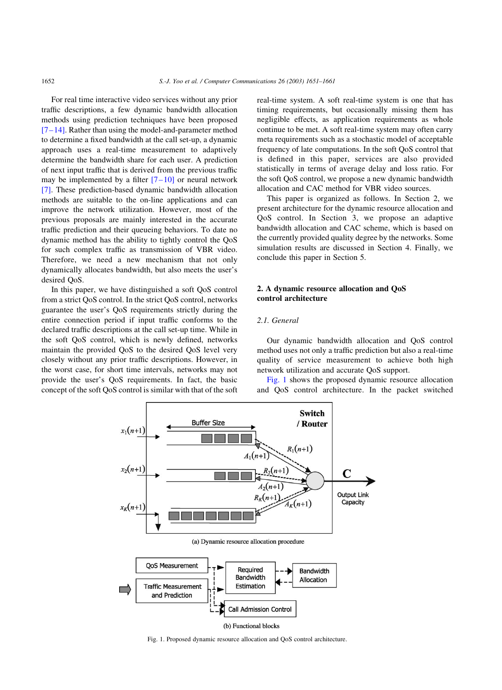For real time interactive video services without any prior traffic descriptions, a few dynamic bandwidth allocation methods using prediction techniques have been proposed  $[7-14]$ . Rather than using the model-and-parameter method to determine a fixed bandwidth at the call set-up, a dynamic approach uses a real-time measurement to adaptively determine the bandwidth share for each user. A prediction of next input traffic that is derived from the previous traffic may be implemented by a filter  $[7-10]$  or neural network [\[7\]](#page--1-0). These prediction-based dynamic bandwidth allocation methods are suitable to the on-line applications and can improve the network utilization. However, most of the previous proposals are mainly interested in the accurate traffic prediction and their queueing behaviors. To date no dynamic method has the ability to tightly control the QoS for such complex traffic as transmission of VBR video. Therefore, we need a new mechanism that not only dynamically allocates bandwidth, but also meets the user's desired QoS.

In this paper, we have distinguished a soft QoS control from a strict QoS control. In the strict QoS control, networks guarantee the user's QoS requirements strictly during the entire connection period if input traffic conforms to the declared traffic descriptions at the call set-up time. While in the soft QoS control, which is newly defined, networks maintain the provided QoS to the desired QoS level very closely without any prior traffic descriptions. However, in the worst case, for short time intervals, networks may not provide the user's QoS requirements. In fact, the basic concept of the soft QoS control is similar with that of the soft real-time system. A soft real-time system is one that has timing requirements, but occasionally missing them has negligible effects, as application requirements as whole continue to be met. A soft real-time system may often carry meta requirements such as a stochastic model of acceptable frequency of late computations. In the soft QoS control that is defined in this paper, services are also provided statistically in terms of average delay and loss ratio. For the soft QoS control, we propose a new dynamic bandwidth allocation and CAC method for VBR video sources.

This paper is organized as follows. In Section 2, we present architecture for the dynamic resource allocation and QoS control. In Section 3, we propose an adaptive bandwidth allocation and CAC scheme, which is based on the currently provided quality degree by the networks. Some simulation results are discussed in Section 4. Finally, we conclude this paper in Section 5.

## 2. A dynamic resource allocation and QoS control architecture

### 2.1. General

Our dynamic bandwidth allocation and QoS control method uses not only a traffic prediction but also a real-time quality of service measurement to achieve both high network utilization and accurate QoS support.

Fig. 1 shows the proposed dynamic resource allocation and QoS control architecture. In the packet switched



(b) Functional blocks

Fig. 1. Proposed dynamic resource allocation and QoS control architecture.